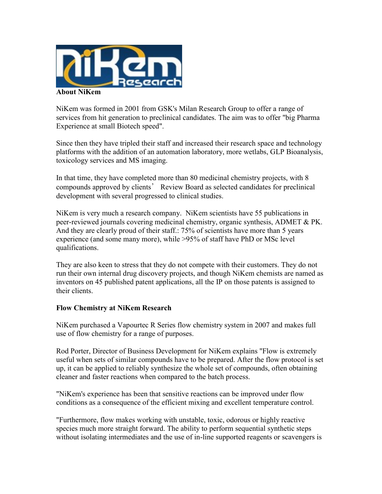

NiKem was formed in 2001 from GSK's Milan Research Group to offer a range of services from hit generation to preclinical candidates. The aim was to offer "big Pharma Experience at small Biotech speed".

Since then they have tripled their staff and increased their research space and technology platforms with the addition of an automation laboratory, more wetlabs, GLP Bioanalysis, toxicology services and MS imaging.

In that time, they have completed more than 80 medicinal chemistry projects, with 8 compounds approved by clients' Review Board as selected candidates for preclinical development with several progressed to clinical studies.

NiKem is very much a research company. NiKem scientists have 55 publications in peer-reviewed journals covering medicinal chemistry, organic synthesis, ADMET & PK. And they are clearly proud of their staff.: 75% of scientists have more than 5 years experience (and some many more), while >95% of staff have PhD or MSc level qualifications.

They are also keen to stress that they do not compete with their customers. They do not run their own internal drug discovery projects, and though NiKem chemists are named as inventors on 45 published patent applications, all the IP on those patents is assigned to their clients.

## **Flow Chemistry at NiKem Research**

NiKem purchased a Vapourtec R Series flow chemistry system in 2007 and makes full use of flow chemistry for a range of purposes.

Rod Porter, Director of Business Development for NiKem explains "Flow is extremely useful when sets of similar compounds have to be prepared. After the flow protocol is set up, it can be applied to reliably synthesize the whole set of compounds, often obtaining cleaner and faster reactions when compared to the batch process.

"NiKem's experience has been that sensitive reactions can be improved under flow conditions as a consequence of the efficient mixing and excellent temperature control.

"Furthermore, flow makes working with unstable, toxic, odorous or highly reactive species much more straight forward. The ability to perform sequential synthetic steps without isolating intermediates and the use of in-line supported reagents or scavengers is